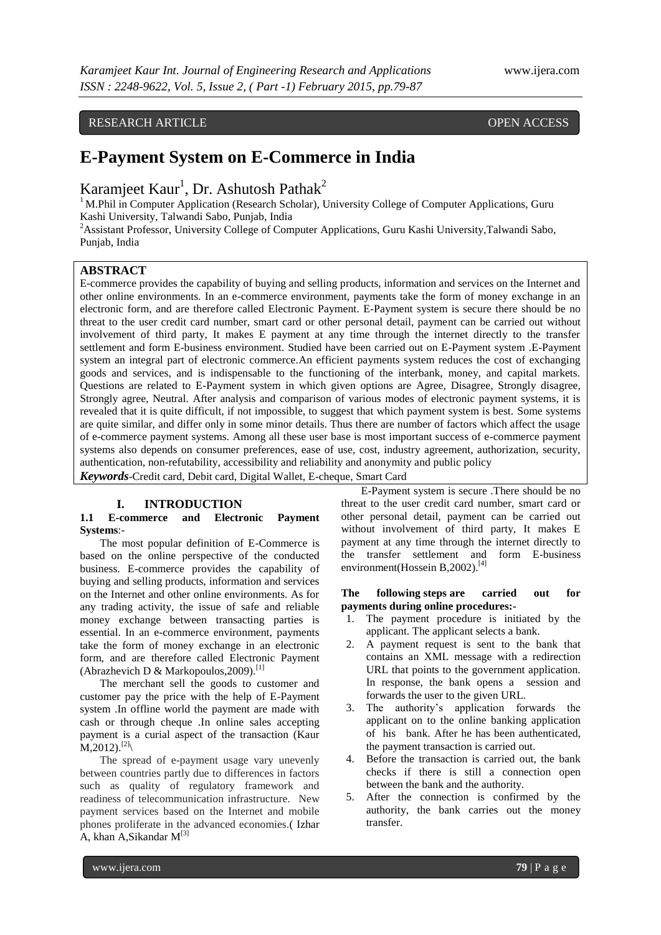# RESEARCH ARTICLE **CONSERVERS** OPEN ACCESS

# **E-Payment System on E-Commerce in India**

Karamjeet Kaur<sup>1</sup>, Dr. Ashutosh Pathak<sup>2</sup>

<sup>1</sup> M.Phil in Computer Application (Research Scholar), University College of Computer Applications, Guru Kashi University, Talwandi Sabo, Punjab, India

<sup>2</sup> Assistant Professor, University College of Computer Applications, Guru Kashi University, Talwandi Sabo, Punjab, India

# **ABSTRACT**

E-commerce provides the capability of buying and selling products, information and services on the Internet and other online environments. In an e-commerce environment, payments take the form of money exchange in an electronic form, and are therefore called Electronic Payment. E-Payment system is secure there should be no threat to the user credit card number, smart card or other personal detail, payment can be carried out without involvement of third party, It makes E payment at any time through the internet directly to the transfer settlement and form E-business environment. Studied have been carried out on E-Payment system .E-Payment system an integral part of electronic commerce.An efficient payments system reduces the cost of exchanging goods and services, and is indispensable to the functioning of the interbank, money, and capital markets. Questions are related to E-Payment system in which given options are Agree, Disagree, Strongly disagree, Strongly agree, Neutral. After analysis and comparison of various modes of electronic payment systems, it is revealed that it is quite difficult, if not impossible, to suggest that which payment system is best. Some systems are quite similar, and differ only in some minor details. Thus there are number of factors which affect the usage of e-commerce payment systems. Among all these user base is most important success of e-commerce payment systems also depends on consumer preferences, ease of use, cost, industry agreement, authorization, security, authentication, non-refutability, accessibility and reliability and anonymity and public policy

*Keywords*-Credit card, Debit card, Digital Wallet, E-cheque, Smart Card

## **I. INTRODUCTION**

# **1.1 E-commerce and Electronic Payment Systems**:-

The most popular definition of E-Commerce is based on the online perspective of the conducted business. E-commerce provides the capability of buying and selling products, information and services on the Internet and other online environments. As for any trading activity, the issue of safe and reliable money exchange between transacting parties is essential. In an e-commerce environment, payments take the form of money exchange in an electronic form, and are therefore called Electronic Payment (Abrazhevich D & Markopoulos, 2009).<sup>[1]</sup>

The merchant sell the goods to customer and customer pay the price with the help of E-Payment system .In offline world the payment are made with cash or through cheque .In online sales accepting payment is a curial aspect of the transaction (Kaur  $M$ ,2012).<sup>[2]</sup>

The spread of e-payment usage vary unevenly between countries partly due to differences in factors such as quality of regulatory framework and readiness of telecommunication infrastructure. New payment services based on the Internet and mobile phones proliferate in the advanced economies.( Izhar A, khan A, Sikandar  $M^{[3]}$ 

E-Payment system is secure .There should be no threat to the user credit card number, smart card or other personal detail, payment can be carried out without involvement of third party, It makes E payment at any time through the internet directly to the transfer settlement and form E-business environment(Hossein B,2002).<sup>[4]</sup>

## **The following steps are carried out for payments during online procedures:-**

- 1. The payment procedure is initiated by the applicant. The applicant selects a bank.
- 2. A payment request is sent to the bank that contains an XML message with a redirection URL that points to the government application. In response, the bank opens a session and forwards the user to the given URL.
- 3. The authority's application forwards the applicant on to the online banking application of his bank. After he has been authenticated, the payment transaction is carried out.
- 4. Before the transaction is carried out, the bank checks if there is still a connection open between the bank and the authority.
- 5. After the connection is confirmed by the authority, the bank carries out the money transfer.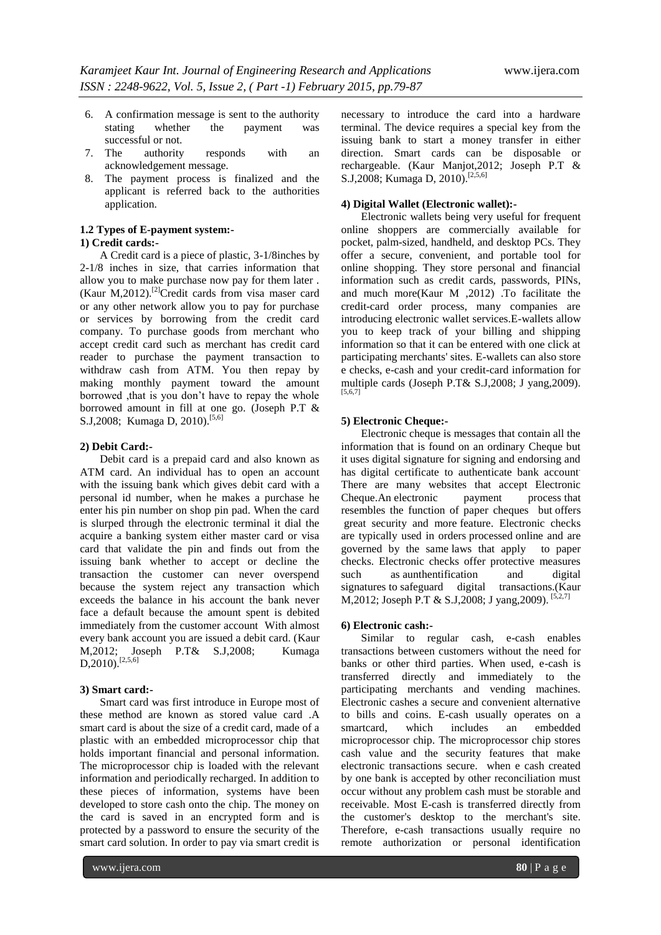- 6. A confirmation message is sent to the authority stating whether the payment was successful or not.<br>7. The authority
- authority responds with an acknowledgement message.
- 8. The payment process is finalized and the applicant is referred back to the authorities application.

# **1.2 Types of E-payment system:-**

# **1) Credit cards:-**

A Credit card is a piece of plastic, 3-1/8inches by 2-1/8 inches in size, that carries information that allow you to make purchase now pay for them later . (Kaur M, 2012).<sup>[2]</sup>Credit cards from visa maser card or any other network allow you to pay for purchase or services by borrowing from the credit card company. To purchase goods from merchant who accept credit card such as merchant has credit card reader to purchase the payment transaction to withdraw cash from ATM. You then repay by making monthly payment toward the amount borrowed ,that is you don't have to repay the whole borrowed amount in fill at one go. (Joseph P.T & S.J,2008; Kumaga D, 2010).<sup>[5,6]</sup>

# **2) Debit Card:-**

Debit card is a prepaid card and also known as ATM card. An individual has to open an account with the issuing bank which gives debit card with a personal id number, when he makes a purchase he enter his pin number on shop pin pad. When the card is slurped through the electronic terminal it dial the acquire a banking system either master card or visa card that validate the pin and finds out from the issuing bank whether to accept or decline the transaction the customer can never overspend because the system reject any transaction which exceeds the balance in his account the bank never face a default because the amount spent is debited immediately from the customer account With almost every bank account you are issued a debit card. (Kaur M,2012; Joseph P.T& S.J,2008; Kumaga  $D,2010)$ .<sup>[2,5,6]</sup>

#### **3) Smart card:-**

Smart card was first introduce in Europe most of these method are known as stored value card .A smart card is about the size of a credit card, made of a plastic with an embedded microprocessor chip that holds important financial and personal information. The microprocessor chip is loaded with the relevant information and periodically recharged. In addition to these pieces of information, systems have been developed to store cash onto the chip. The money on the card is saved in an encrypted form and is protected by a password to ensure the security of the smart card solution. In order to pay via smart credit is

necessary to introduce the card into a hardware terminal. The device requires a special key from the issuing bank to start a money transfer in either direction. Smart cards can be disposable or rechargeable. (Kaur Manjot,2012; Joseph P.T & S.J,2008; Kumaga D, 2010).<sup>[2,5,6]</sup>

## **4) Digital Wallet (Electronic wallet):-**

Electronic wallets being very useful for frequent online shoppers are commercially available for pocket, palm-sized, handheld, and desktop PCs. They offer a secure, convenient, and portable tool for online shopping. They store personal and financial information such as credit cards, passwords, PINs, and much more(Kaur M ,2012) .To facilitate the credit-card order process, many companies are introducing electronic wallet services.E-wallets allow you to keep track of your billing and shipping information so that it can be entered with one click at participating merchants' sites. E-wallets can also store e checks, e-cash and your credit-card information for multiple cards (Joseph P.T& S.J,2008; J yang,2009). [5,6,7]

# **5) Electronic Cheque:-**

Electronic cheque is messages that contain all the information that is found on an ordinary Cheque but it uses digital signature for signing and endorsing and has digital certificate to authenticate bank account. There are many websites that accept Electronic Cheque.An electronic payment process that resembles the function of paper cheques but offers great security and more feature. Electronic checks are typically used in orders processed online and are governed by the same laws that apply to paper checks. Electronic checks offer protective measures such as aunthentification and digital signatures to safeguard digital transactions.(Kaur M, 2012; Joseph P.T & S.J, 2008; J yang, 2009). [5,2,7]

#### **6) Electronic cash:-**

Similar to regular cash, e-cash enables transactions between customers without the need for banks or other third parties. When used, e-cash is transferred directly and immediately to the participating merchants and vending machines. Electronic cashes a secure and convenient alternative to bills and coins. E-cash usually operates on a smartcard, which includes an embedded microprocessor chip. The microprocessor chip stores cash value and the security features that make electronic transactions secure. when e cash created by one bank is accepted by other reconciliation must occur without any problem cash must be storable and receivable. Most E-cash is transferred directly from the customer's desktop to the merchant's site. Therefore, e-cash transactions usually require no remote authorization or personal identification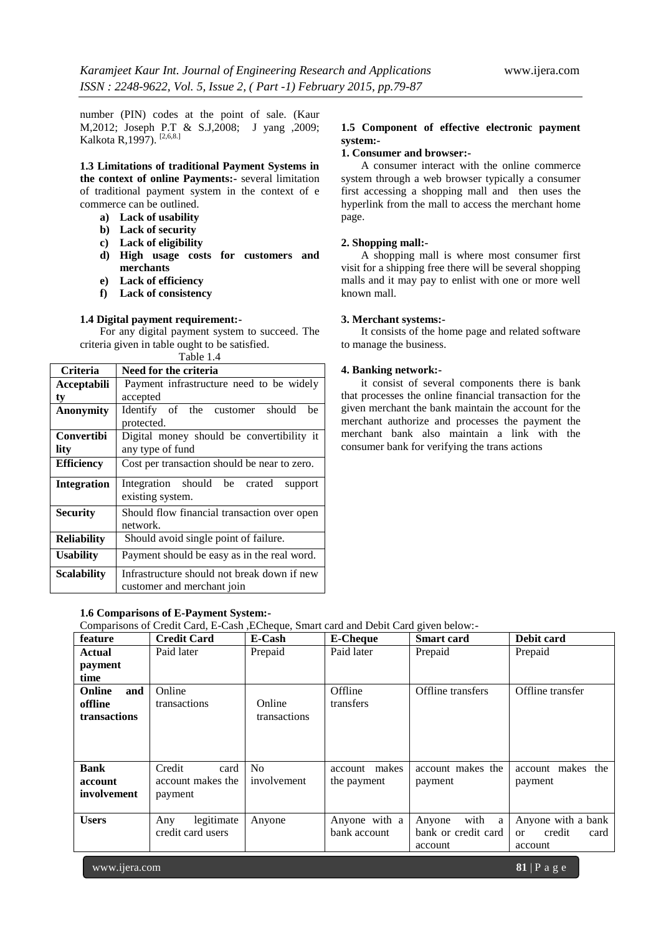number (PIN) codes at the point of sale. (Kaur M,2012; Joseph P.T & S.J,2008; J yang ,2009; Kalkota R,1997). <sup>[2,6,8.]</sup>

**1.3 Limitations of traditional Payment Systems in the context of online Payments:-** several limitation of traditional payment system in the context of e commerce can be outlined.

- **a) Lack of usability**
- **b) Lack of security**
- **c) Lack of eligibility**
- **d) High usage costs for customers and merchants**
- **e) Lack of efficiency**
- **f) Lack of consistency**

#### **1.4 Digital payment requirement:-**

For any digital payment system to succeed. The criteria given in table ought to be satisfied.

Table 1.4

| <b>Criteria</b>    | Need for the criteria                        |  |  |  |
|--------------------|----------------------------------------------|--|--|--|
| Acceptabili        | Payment infrastructure need to be widely     |  |  |  |
| ty                 | accepted                                     |  |  |  |
| Anonymity          | Identify of the customer should<br>he        |  |  |  |
|                    | protected.                                   |  |  |  |
| Convertibi         | Digital money should be convertibility it    |  |  |  |
| lity               | any type of fund                             |  |  |  |
| <b>Efficiency</b>  | Cost per transaction should be near to zero. |  |  |  |
| <b>Integration</b> | Integration should be crated<br>support      |  |  |  |
|                    | existing system.                             |  |  |  |
| <b>Security</b>    | Should flow financial transaction over open  |  |  |  |
|                    | network.                                     |  |  |  |
| <b>Reliability</b> | Should avoid single point of failure.        |  |  |  |
| <b>Usability</b>   | Payment should be easy as in the real word.  |  |  |  |
| <b>Scalability</b> | Infrastructure should not break down if new  |  |  |  |
|                    | customer and merchant join                   |  |  |  |

# **1.6 Comparisons of E-Payment System:-**

Comparisons of Credit Card, E-Cash ,ECheque, Smart card and Debit Card given below:-

| feature              | <b>Credit Card</b> | E-Cash       | <b>E-Cheque</b> | <b>Smart</b> card   | Debit card                      |  |
|----------------------|--------------------|--------------|-----------------|---------------------|---------------------------------|--|
| Actual               | Paid later         | Prepaid      | Paid later      | Prepaid             | Prepaid                         |  |
| payment              |                    |              |                 |                     |                                 |  |
| time                 |                    |              |                 |                     |                                 |  |
| <b>Online</b><br>and | Online             |              | Offline         | Offline transfers   | Offline transfer                |  |
| offline              | transactions       | Online       | transfers       |                     |                                 |  |
| transactions         |                    | transactions |                 |                     |                                 |  |
|                      |                    |              |                 |                     |                                 |  |
|                      |                    |              |                 |                     |                                 |  |
|                      |                    |              |                 |                     |                                 |  |
| <b>Bank</b>          | Credit<br>card     | No.          | account makes   | account makes the   | account makes the               |  |
| account              | account makes the  | involvement  | the payment     | payment             | payment                         |  |
| involvement          | payment            |              |                 |                     |                                 |  |
|                      |                    |              |                 |                     |                                 |  |
| <b>Users</b>         | legitimate<br>Any  | Anyone       | Anyone with a   | with<br>Anyone<br>a | Anyone with a bank              |  |
|                      | credit card users  |              | bank account    | bank or credit card | credit<br>card<br><sub>or</sub> |  |
|                      |                    |              |                 | account             | account                         |  |
|                      |                    |              |                 |                     |                                 |  |

# **1.5 Component of effective electronic payment system:-**

# **1. Consumer and browser:-**

A consumer interact with the online commerce system through a web browser typically a consumer first accessing a shopping mall and then uses the hyperlink from the mall to access the merchant home page.

#### **2. Shopping mall:-**

A shopping mall is where most consumer first visit for a shipping free there will be several shopping malls and it may pay to enlist with one or more well known mall.

#### **3. Merchant systems:-**

It consists of the home page and related software to manage the business.

#### **4. Banking network:-**

it consist of several components there is bank that processes the online financial transaction for the given merchant the bank maintain the account for the merchant authorize and processes the payment the merchant bank also maintain a link with the consumer bank for verifying the trans actions

www.ijera.com **81** | P a g e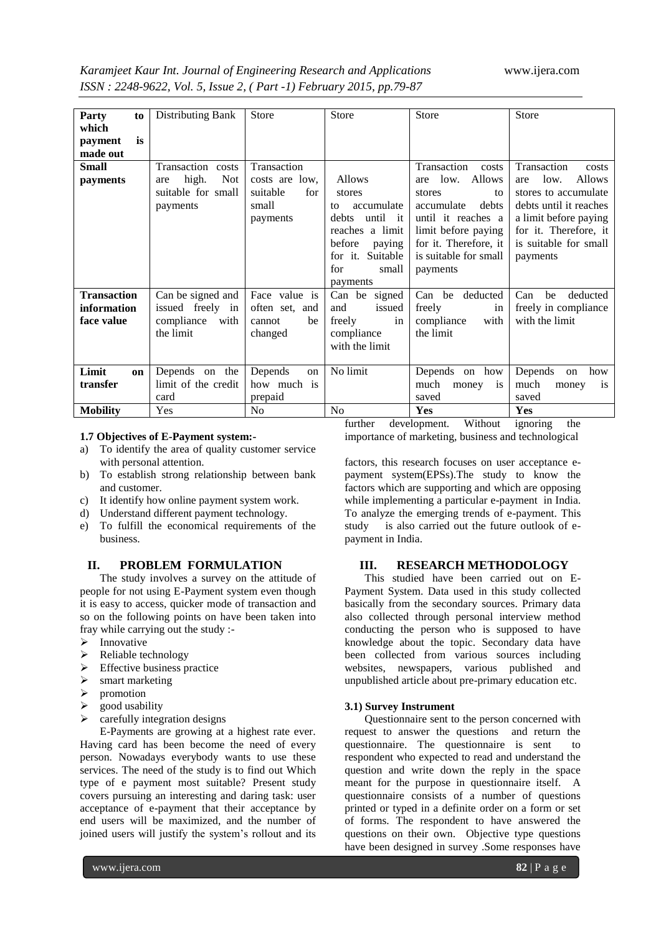| <b>Party</b><br>to |            | Distributing Bank   | Store           | <b>Store</b>        | <b>Store</b>          | <b>Store</b>           |  |
|--------------------|------------|---------------------|-----------------|---------------------|-----------------------|------------------------|--|
| which              |            |                     |                 |                     |                       |                        |  |
| is<br>payment      |            |                     |                 |                     |                       |                        |  |
| made out           |            |                     |                 |                     |                       |                        |  |
| <b>Small</b>       |            | Transaction costs   | Transaction     |                     | Transaction<br>costs  | Transaction<br>costs   |  |
| payments           | are        | high.<br><b>Not</b> | costs are low,  | <b>Allows</b>       | Allows<br>low.<br>are | Allows<br>low.<br>are  |  |
|                    |            | suitable for small  | for<br>suitable | stores              | stores<br>to          | stores to accumulate   |  |
|                    | payments   |                     | small           | accumulate<br>to    | accumulate<br>debts   | debts until it reaches |  |
|                    |            |                     | payments        | until it<br>debts   | until it reaches a    | a limit before paying  |  |
|                    |            |                     |                 | reaches a limit     | limit before paying   | for it. Therefore, it  |  |
|                    |            |                     |                 | before<br>paying    | for it. Therefore, it | is suitable for small  |  |
|                    |            |                     |                 | Suitable<br>for it. | is suitable for small | payments               |  |
|                    |            |                     |                 | small<br>for        | payments              |                        |  |
|                    |            |                     |                 | payments            |                       |                        |  |
| <b>Transaction</b> |            | Can be signed and   | Face value is   | Can be signed       | Can be<br>deducted    | Can<br>deducted<br>be  |  |
| information        |            | issued freely in    | often set, and  | issued<br>and       | freely<br>in          | freely in compliance   |  |
| face value         | compliance | with                | cannot<br>be    | in<br>freely        | compliance<br>with    | with the limit         |  |
| the limit          |            |                     | changed         | compliance          | the limit             |                        |  |
|                    |            |                     |                 | with the limit      |                       |                        |  |
|                    |            |                     |                 |                     |                       |                        |  |
| Limit<br>on        |            | Depends on the      | Depends<br>on   | No limit            | Depends on how        | Depends<br>how<br>on   |  |
| transfer           |            | limit of the credit | how much is     |                     | much<br>is<br>money   | much<br>is<br>money    |  |
|                    | card       |                     | prepaid         |                     | saved                 | saved                  |  |
| <b>Mobility</b>    | Yes        |                     | N <sub>o</sub>  | N <sub>o</sub>      | Yes                   | Yes                    |  |

# **1.7 Objectives of E-Payment system:-**

- a) To identify the area of quality customer service with personal attention.
- b) To establish strong relationship between bank and customer.
- c) It identify how online payment system work.
- d) Understand different payment technology.
- e) To fulfill the economical requirements of the business.

# **II. PROBLEM FORMULATION**

The study involves a survey on the attitude of people for not using E-Payment system even though it is easy to access, quicker mode of transaction and so on the following points on have been taken into fray while carrying out the study :-

- $\triangleright$  Innovative
- $\triangleright$  Reliable technology<br> $\triangleright$  Effective business n
- Effective business practice
- $\geq$  smart marketing<br> $\geq$  promotion
- $\triangleright$  promotion
- good usability
- $\triangleright$  carefully integration designs

E-Payments are growing at a highest rate ever. Having card has been become the need of every person. Nowadays everybody wants to use these services. The need of the study is to find out Which type of e payment most suitable? Present study covers pursuing an interesting and daring task: user acceptance of e-payment that their acceptance by end users will be maximized, and the number of joined users will justify the system's rollout and its

further development. Without ignoring the importance of marketing, business and technological

factors, this research focuses on user acceptance epayment system(EPSs).The study to know the factors which are supporting and which are opposing while implementing a particular e-payment in India. To analyze the emerging trends of e-payment. This study is also carried out the future outlook of epayment in India.

# **III. RESEARCH METHODOLOGY**

This studied have been carried out on E-Payment System. Data used in this study collected basically from the secondary sources. Primary data also collected through personal interview method conducting the person who is supposed to have knowledge about the topic. Secondary data have been collected from various sources including websites, newspapers, various published and unpublished article about pre-primary education etc.

# **3.1) Survey Instrument**

Questionnaire sent to the person concerned with request to answer the questions and return the questionnaire. The questionnaire is sent to respondent who expected to read and understand the question and write down the reply in the space meant for the purpose in questionnaire itself. A questionnaire consists of a number of questions printed or typed in a definite order on a form or set of forms. The respondent to have answered the questions on their own. Objective type questions have been designed in survey .Some responses have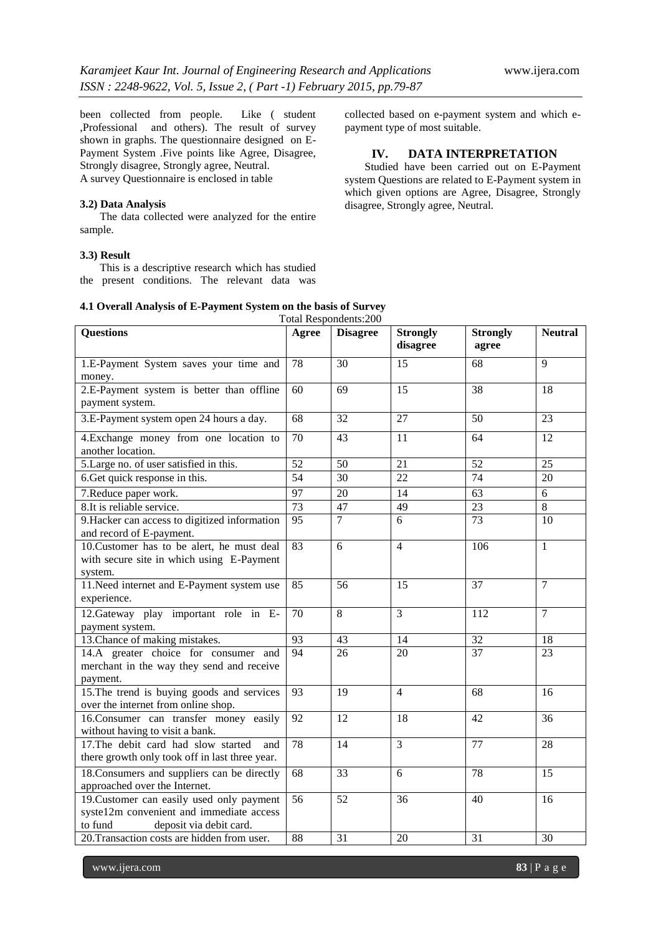been collected from people. Like ( student ,Professional and others). The result of survey shown in graphs. The questionnaire designed on E-Payment System .Five points like Agree, Disagree, Strongly disagree, Strongly agree, Neutral. A survey Questionnaire is enclosed in table

# **3.2) Data Analysis**

The data collected were analyzed for the entire sample.

# **3.3) Result**

This is a descriptive research which has studied the present conditions. The relevant data was

collected based on e-payment system and which epayment type of most suitable.

# **IV. DATA INTERPRETATION**

Studied have been carried out on E-Payment system Questions are related to E-Payment system in which given options are Agree, Disagree, Strongly disagree, Strongly agree, Neutral.

## **4.1 Overall Analysis of E-Payment System on the basis of Survey**

Total Respondents:200 **Questions Agree Disagree** Strongly **disagree Strongly agree Neutral** 1.E-Payment System saves your time and money. 78 30 15 68 9 2.E-Payment system is better than offline payment system. 60 | 69 | 15 | 38 | 18 3.E-Payment system open 24 hours a day. 68 32 27 50 33 4.Exchange money from one location to another location. 70 43 11 64 12 5. Large no. of user satisfied in this.  $\begin{array}{|c|c|c|c|c|c|} \hline 52 & 50 & 21 & 52 & 25 \ \hline \end{array}$ 6.Get quick response in this. 54 30 22 74 20 1. Produce paper work.<br>
1. 14 63 6<br>
1. 14 63 6<br>
1. 14 63 6<br>
1. 14 63 6<br>
2. 14 63 6<br>
2. 14 63 6 8.It is reliable service.<br>
9 Hacker can access to digitized information 95 7 6 73 10 9.Hacker can access to digitized information and record of E-payment. 95 | 7 | 6 | 73 | 10 10.Customer has to be alert, he must deal with secure site in which using E-Payment system. 83 | 6 | 4 | 106 | 1 11.Need internet and E-Payment system use experience. 85 | 56 | 15 | 37 | 7 12.Gateway play important role in Epayment system. 70 | 8 | 3 | 112 | 7 13. Chance of making mistakes. 193 43 14 32 18 14.A greater choice for consumer and merchant in the way they send and receive payment. 94 26 20 37 23 15.The trend is buying goods and services over the internet from online shop. 93 | 19 | 4 | 68 | 16 16.Consumer can transfer money easily without having to visit a bank. 92 | 12 | 18 | 42 | 36 17.The debit card had slow started and there growth only took off in last three year. 78 14 3 77 28 18.Consumers and suppliers can be directly approached over the Internet. 68 | 33 | 6 | 78 | 15 19.Customer can easily used only payment syste12m convenient and immediate access to fund deposit via debit card. 56 | 52 | 36 | 40 | 16 20.Transaction costs are hidden from user.  $\begin{array}{|l|l|} 88 & 31 & 20 \\ \end{array}$  20  $\begin{array}{|l|} 31 & 30 \\ \end{array}$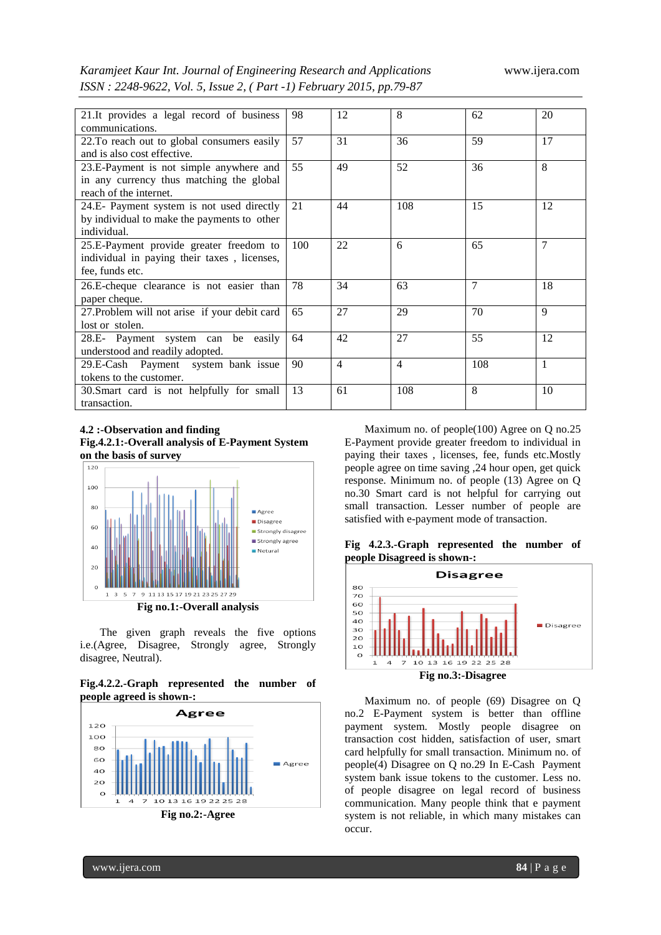| Karamjeet Kaur Int. Journal of Engineering Research and Applications |  |  |
|----------------------------------------------------------------------|--|--|
| ISSN: 2248-9622, Vol. 5, Issue 2, (Part -1) February 2015, pp.79-87  |  |  |

| 21. It provides a legal record of business    | 98  | 12             | 8              | 62  | 20             |
|-----------------------------------------------|-----|----------------|----------------|-----|----------------|
| communications.                               |     |                |                |     |                |
| 22. To reach out to global consumers easily   | 57  | 31             | 36             | 59  | 17             |
| and is also cost effective.                   |     |                |                |     |                |
| 23.E-Payment is not simple anywhere and       | 55  | 49             | 52             | 36  | 8              |
| in any currency thus matching the global      |     |                |                |     |                |
| reach of the internet.                        |     |                |                |     |                |
| 24.E- Payment system is not used directly     | 21  | 44             | 108            | 15  | 12             |
| by individual to make the payments to other   |     |                |                |     |                |
| individual.                                   |     |                |                |     |                |
| 25.E-Payment provide greater freedom to       | 100 | 22             | 6              | 65  | $\overline{7}$ |
| individual in paying their taxes, licenses,   |     |                |                |     |                |
| fee, funds etc.                               |     |                |                |     |                |
| 26. E-cheque clearance is not easier than     | 78  | 34             | 63             | 7   | 18             |
| paper cheque.                                 |     |                |                |     |                |
| 27. Problem will not arise if your debit card | 65  | 27             | 29             | 70  | 9              |
| lost or stolen.                               |     |                |                |     |                |
| 28.E- Payment system can be easily            | 64  | 42             | 27             | 55  | 12             |
| understood and readily adopted.               |     |                |                |     |                |
| 29.E-Cash Payment system bank issue           | 90  | $\overline{4}$ | $\overline{4}$ | 108 | 1              |
| tokens to the customer.                       |     |                |                |     |                |
| 30. Smart card is not helpfully for small     | 13  | 61             | 108            | 8   | 10             |
| transaction.                                  |     |                |                |     |                |

**4.2 :-Observation and finding Fig.4.2.1:-Overall analysis of E-Payment System on the basis of survey** 



The given graph reveals the five options i.e.(Agree, Disagree, Strongly agree, Strongly disagree, Neutral).

**Fig.4.2.2.-Graph represented the number of people agreed is shown-:** 



Maximum no. of people(100) Agree on Q no.25 E-Payment provide greater freedom to individual in paying their taxes , licenses, fee, funds etc.Mostly people agree on time saving ,24 hour open, get quick response. Minimum no. of people (13) Agree on Q no.30 Smart card is not helpful for carrying out small transaction. Lesser number of people are satisfied with e-payment mode of transaction.





Maximum no. of people (69) Disagree on Q no.2 E-Payment system is better than offline payment system. Mostly people disagree on transaction cost hidden, satisfaction of user, smart card helpfully for small transaction. Minimum no. of people(4) Disagree on Q no.29 In E-CashPayment system bank issue tokens to the customer. Less no. of people disagree on legal record of business communication. Many people think that e payment system is not reliable, in which many mistakes can occur.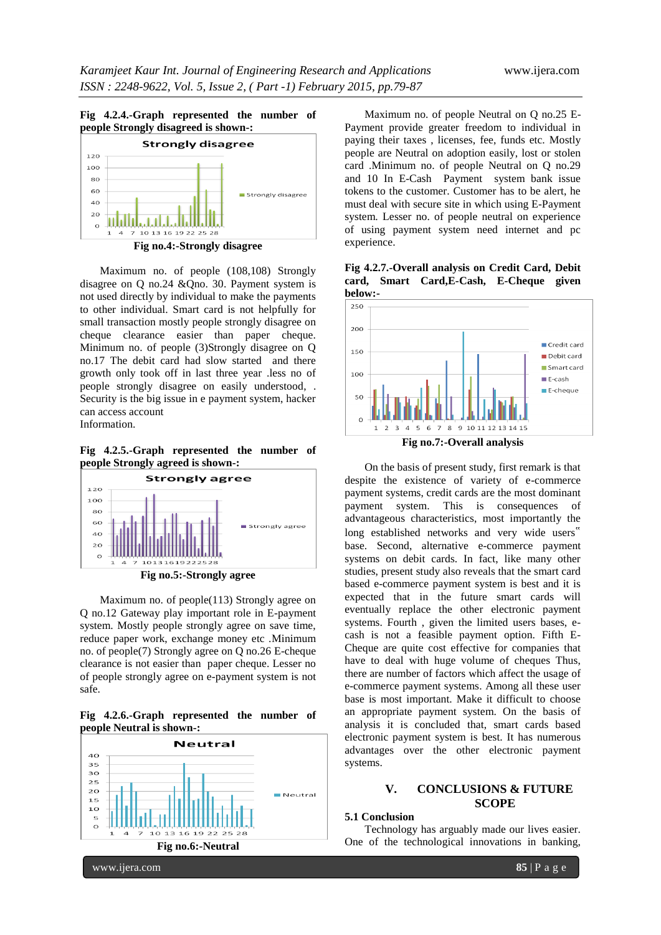



Maximum no. of people (108,108) Strongly disagree on O no.24 & Ono. 30. Payment system is not used directly by individual to make the payments to other individual. Smart card is not helpfully for small transaction mostly people strongly disagree on cheque clearance easier than paper cheque. Minimum no. of people (3)Strongly disagree on Q no.17 The debit card had slow started and there growth only took off in last three year .less no of people strongly disagree on easily understood, . Security is the big issue in e payment system, hacker can access account Information.

**Fig 4.2.5.-Graph represented the number of people Strongly agreed is shown-:** 



**Fig no.5:-Strongly agree**

Maximum no. of people(113) Strongly agree on Q no.12 Gateway play important role in E-payment system. Mostly people strongly agree on save time, reduce paper work, exchange money etc .Minimum no. of people(7) Strongly agree on Q no.26 E-cheque clearance is not easier than paper cheque. Lesser no of people strongly agree on e-payment system is not safe.

**Fig 4.2.6.-Graph represented the number of people Neutral is shown-:** 



Maximum no. of people Neutral on Q no.25 E-Payment provide greater freedom to individual in paying their taxes , licenses, fee, funds etc. Mostly people are Neutral on adoption easily, lost or stolen card .Minimum no. of people Neutral on Q no.29 and 10 In E-Cash Payment system bank issue tokens to the customer. Customer has to be alert, he must deal with secure site in which using E-Payment system. Lesser no. of people neutral on experience of using payment system need internet and pc experience.

**Fig 4.2.7.-Overall analysis on Credit Card, Debit card, Smart Card,E-Cash, E-Cheque given below:-**



On the basis of present study, first remark is that despite the existence of variety of e-commerce payment systems, credit cards are the most dominant payment system. This is consequences of advantageous characteristics, most importantly the long established networks and very wide users" base. Second, alternative e-commerce payment systems on debit cards. In fact, like many other studies, present study also reveals that the smart card based e-commerce payment system is best and it is expected that in the future smart cards will eventually replace the other electronic payment systems. Fourth , given the limited users bases, ecash is not a feasible payment option. Fifth E-Cheque are quite cost effective for companies that have to deal with huge volume of cheques Thus, there are number of factors which affect the usage of e-commerce payment systems. Among all these user base is most important. Make it difficult to choose an appropriate payment system. On the basis of analysis it is concluded that, smart cards based electronic payment system is best. It has numerous advantages over the other electronic payment systems.

# **V. CONCLUSIONS & FUTURE SCOPE**

## **5.1 Conclusion**

Technology has arguably made our lives easier. One of the technological innovations in banking,

www.ijera.com **85** | P a g e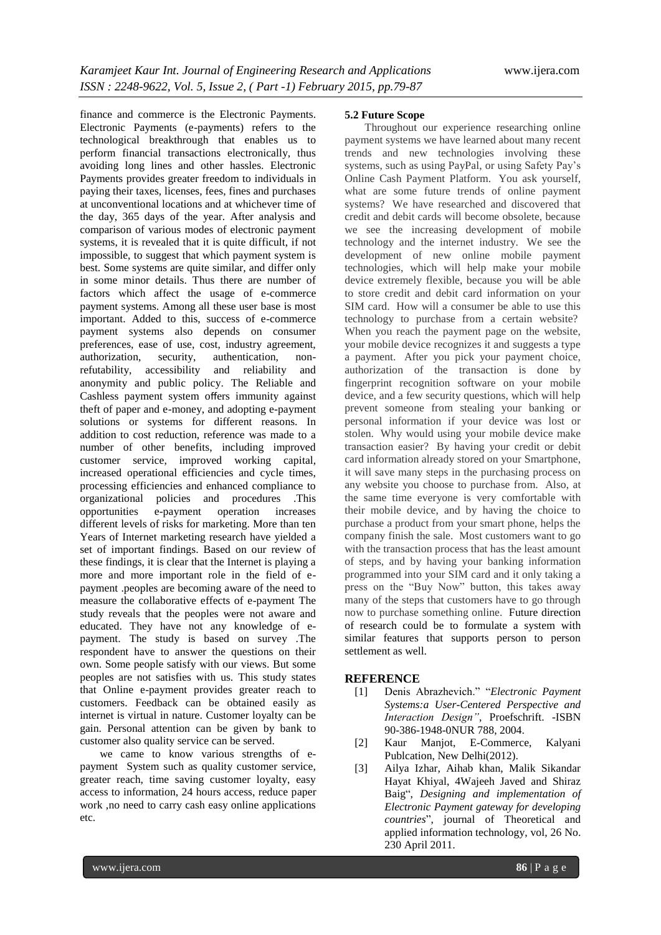finance and commerce is the Electronic Payments. Electronic Payments (e-payments) refers to the technological breakthrough that enables us to perform financial transactions electronically, thus avoiding long lines and other hassles. Electronic Payments provides greater freedom to individuals in paying their taxes, licenses, fees, fines and purchases at unconventional locations and at whichever time of the day, 365 days of the year. After analysis and comparison of various modes of electronic payment systems, it is revealed that it is quite difficult, if not impossible, to suggest that which payment system is best. Some systems are quite similar, and differ only in some minor details. Thus there are number of factors which affect the usage of e-commerce payment systems. Among all these user base is most important. Added to this, success of e-commerce payment systems also depends on consumer preferences, ease of use, cost, industry agreement, authorization, security, authentication, nonrefutability, accessibility and reliability and anonymity and public policy. The Reliable and Cashless payment system offers immunity against theft of paper and e-money, and adopting e-payment solutions or systems for different reasons. In addition to cost reduction, reference was made to a number of other benefits, including improved customer service, improved working capital, increased operational efficiencies and cycle times, processing efficiencies and enhanced compliance to organizational policies and procedures .This opportunities e-payment operation increases different levels of risks for marketing. More than ten Years of Internet marketing research have yielded a set of important findings. Based on our review of these findings, it is clear that the Internet is playing a more and more important role in the field of epayment .peoples are becoming aware of the need to measure the collaborative effects of e-payment The study reveals that the peoples were not aware and educated. They have not any knowledge of epayment. The study is based on survey .The respondent have to answer the questions on their own. Some people satisfy with our views. But some peoples are not satisfies with us. This study states that Online e-payment provides greater reach to customers. Feedback can be obtained easily as internet is virtual in nature. Customer loyalty can be gain. Personal attention can be given by bank to customer also quality service can be served.

we came to know various strengths of epayment System such as quality customer service, greater reach, time saving customer loyalty, easy access to information, 24 hours access, reduce paper work ,no need to carry cash easy online applications etc.

## **5.2 Future Scope**

Throughout our experience researching online payment systems we have learned about many recent trends and new technologies involving these systems, such as using PayPal, or using Safety Pay's Online Cash Payment Platform. You ask yourself, what are some future trends of online payment systems? We have researched and discovered that credit and debit cards will become obsolete, because we see the increasing development of mobile technology and the internet industry. We see the development of new online mobile payment technologies, which will help make your mobile device extremely flexible, because you will be able to store credit and debit card information on your SIM card. How will a consumer be able to use this technology to purchase from a certain website? When you reach the payment page on the website, your mobile device recognizes it and suggests a type a payment. After you pick your payment choice, authorization of the transaction is done by fingerprint recognition software on your mobile device, and a few security questions, which will help prevent someone from stealing your banking or personal information if your device was lost or stolen. Why would using your mobile device make transaction easier? By having your credit or debit card information already stored on your Smartphone, it will save many steps in the purchasing process on any website you choose to purchase from. Also, at the same time everyone is very comfortable with their mobile device, and by having the choice to purchase a product from your smart phone, helps the company finish the sale. Most customers want to go with the transaction process that has the least amount of steps, and by having your banking information programmed into your SIM card and it only taking a press on the "Buy Now" button, this takes away many of the steps that customers have to go through now to purchase something online. Future direction of research could be to formulate a system with similar features that supports person to person settlement as well.

# **REFERENCE**

- [1] Denis Abrazhevich." "*Electronic Payment Systems:a User-Centered Perspective and Interaction Design",* Proefschrift. -ISBN 90-386-1948-0NUR 788, 2004.
- [2] Kaur Manjot, E-Commerce, Kalyani Publcation, New Delhi(2012).
- [3] Ailya Izhar, Aihab khan, Malik Sikandar Hayat Khiyal, 4Wajeeh Javed and Shiraz Baig", *Designing and implementation of Electronic Payment gateway for developing countries*", journal of Theoretical and applied information technology, vol, 26 No. 230 April 2011.